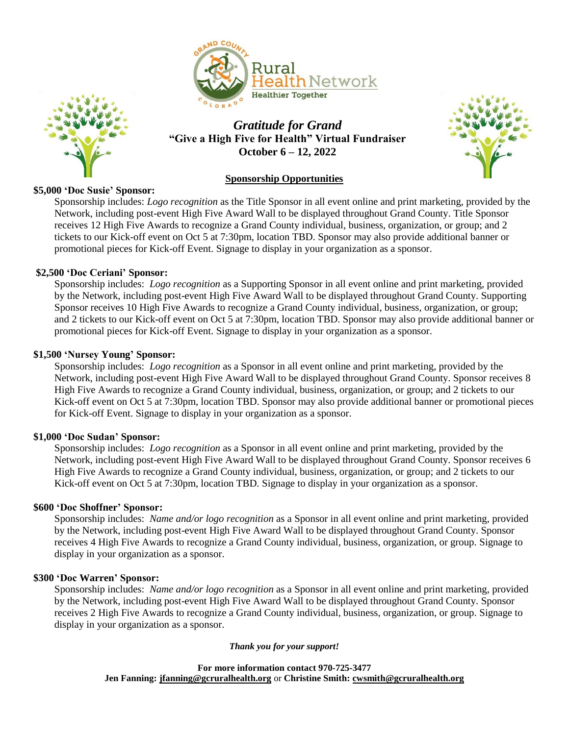



## *Gratitude for Grand* **"Give a High Five for Health" Virtual Fundraiser October 6 – 12, 2022**



### **Sponsorship Opportunities**

## **\$5,000 'Doc Susie' Sponsor:**

 Sponsorship includes: *Logo recognition* as the Title Sponsor in all event online and print marketing, provided by the Network, including post-event High Five Award Wall to be displayed throughout Grand County. Title Sponsor receives 12 High Five Awards to recognize a Grand County individual, business, organization, or group; and 2 tickets to our Kick-off event on Oct 5 at 7:30pm, location TBD. Sponsor may also provide additional banner or promotional pieces for Kick-off Event. Signage to display in your organization as a sponsor.

#### **\$2,500 'Doc Ceriani' Sponsor:**

 Sponsorship includes: *Logo recognition* as a Supporting Sponsor in all event online and print marketing, provided by the Network, including post-event High Five Award Wall to be displayed throughout Grand County. Supporting Sponsor receives 10 High Five Awards to recognize a Grand County individual, business, organization, or group; and 2 tickets to our Kick-off event on Oct 5 at 7:30pm, location TBD. Sponsor may also provide additional banner or promotional pieces for Kick-off Event. Signage to display in your organization as a sponsor.

#### **\$1,500 'Nursey Young' Sponsor:**

Sponsorship includes: *Logo recognition* as a Sponsor in all event online and print marketing, provided by the Network, including post-event High Five Award Wall to be displayed throughout Grand County. Sponsor receives 8 High Five Awards to recognize a Grand County individual, business, organization, or group; and 2 tickets to our Kick-off event on Oct 5 at 7:30pm, location TBD. Sponsor may also provide additional banner or promotional pieces for Kick-off Event. Signage to display in your organization as a sponsor.

### **\$1,000 'Doc Sudan' Sponsor:**

Sponsorship includes: *Logo recognition* as a Sponsor in all event online and print marketing, provided by the Network, including post-event High Five Award Wall to be displayed throughout Grand County. Sponsor receives 6 High Five Awards to recognize a Grand County individual, business, organization, or group; and 2 tickets to our Kick-off event on Oct 5 at 7:30pm, location TBD. Signage to display in your organization as a sponsor.

### **\$600 'Doc Shoffner' Sponsor:**

Sponsorship includes: *Name and/or logo recognition* as a Sponsor in all event online and print marketing, provided by the Network, including post-event High Five Award Wall to be displayed throughout Grand County. Sponsor receives 4 High Five Awards to recognize a Grand County individual, business, organization, or group. Signage to display in your organization as a sponsor.

#### **\$300 'Doc Warren' Sponsor:**

Sponsorship includes: *Name and/or logo recognition* as a Sponsor in all event online and print marketing, provided by the Network, including post-event High Five Award Wall to be displayed throughout Grand County. Sponsor receives 2 High Five Awards to recognize a Grand County individual, business, organization, or group. Signage to display in your organization as a sponsor.

#### *Thank you for your support!*

**For more information contact 970-725-3477 Jen Fanning: jfanning@gcruralhealth.org** or **Christine Smith: cwsmith@gcruralhealth.org**